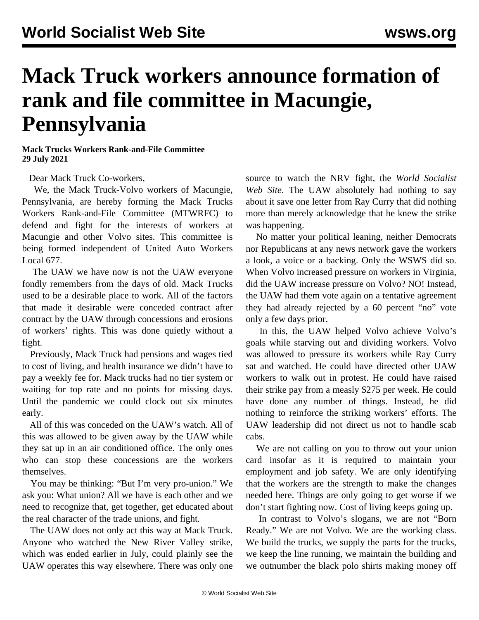## **Mack Truck workers announce formation of rank and file committee in Macungie, Pennsylvania**

**Mack Trucks Workers Rank-and-File Committee 29 July 2021**

Dear Mack Truck Co-workers,

 We, the Mack Truck-Volvo workers of Macungie, Pennsylvania, are hereby forming the Mack Trucks Workers Rank-and-File Committee (MTWRFC) to defend and fight for the interests of workers at Macungie and other Volvo sites. This committee is being formed independent of United Auto Workers Local 677.

 The UAW we have now is not the UAW everyone fondly remembers from the days of old. Mack Trucks used to be a desirable place to work. All of the factors that made it desirable were conceded contract after contract by the UAW through concessions and erosions of workers' rights. This was done quietly without a fight.

 Previously, Mack Truck had pensions and wages tied to cost of living, and health insurance we didn't have to pay a weekly fee for. Mack trucks had no tier system or waiting for top rate and no points for missing days. Until the pandemic we could clock out six minutes early.

 All of this was conceded on the UAW's watch. All of this was allowed to be given away by the UAW while they sat up in an air conditioned office. The only ones who can stop these concessions are the workers themselves.

 You may be thinking: "But I'm very pro-union." We ask you: What union? All we have is each other and we need to recognize that, get together, get educated about the real character of the trade unions, and fight.

 The UAW does not only act this way at Mack Truck. Anyone who watched the [New River Valley](/en/articles/2021/07/20/vrfc-j20.html) strike, which was ended earlier in July, could plainly see the UAW operates this way elsewhere. There was only one

source to watch the NRV fight, the *World Socialist Web Site*. The UAW absolutely had nothing to say about it save [one letter from Ray Curry](/en/articles/2021/06/30/volv-j30.html) that did nothing more than merely acknowledge that he knew the strike was happening.

 No matter your political leaning, neither Democrats nor Republicans at any news network gave the workers a look, a voice or a backing. Only the WSWS did so. When Volvo [increased pressure](/en/articles/2021/07/12/vrfc-j12.html) on workers in Virginia, did the UAW increase pressure on Volvo? NO! Instead, the UAW had them vote [again](/en/articles/2021/07/14/volv-j14.html) on a tentative agreement they had [already rejected by a 60 percent](https://abcnews.go.com/amp/US/wireStory/striking-volvo-workers-nix-tentative-deal-truck-plant-78765905?__twitter_impression=true) "no" vote only a few days prior.

 In this, the UAW helped Volvo achieve Volvo's goals while starving out and dividing workers. Volvo was allowed to pressure its workers while Ray Curry sat and watched. He could have directed other UAW workers to walk out in protest. He could have raised their strike pay from a measly \$275 per week. He could have done any number of things. Instead, he did nothing to reinforce the striking workers' efforts. The UAW leadership did not direct us not to [handle scab](/en/articles/2021/07/06/alle-j06.html) [cabs.](/en/articles/2021/07/06/alle-j06.html)

 We are not calling on you to throw out your union card insofar as it is required to maintain your employment and job safety. We are only identifying that the workers are the strength to make the changes needed here. Things are only going to get worse if we don't start fighting now. Cost of living keeps going up.

 In contrast to Volvo's slogans, we are not "Born Ready." We are not Volvo. We are the working class. We build the trucks, we supply the parts for the trucks, we keep the line running, we maintain the building and we outnumber the black polo shirts making money off